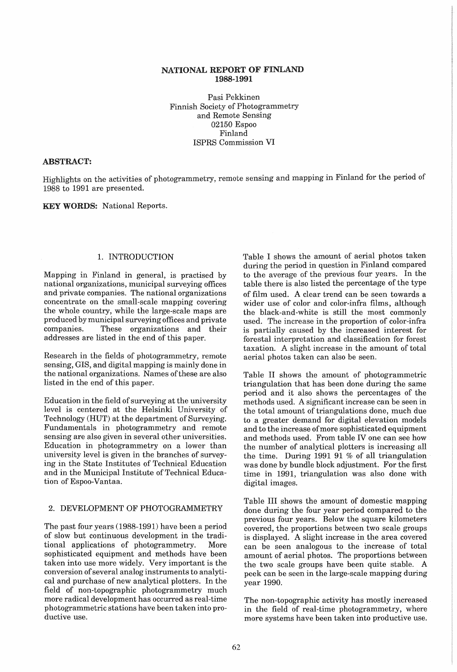# NATIONAL REPORT OF FINLAND 1988-1991

Pasi Pekkinen Finnish Society of Photogrammetry and Remote Sensing 02150 Espoo Finland ISPRS Commission VI

#### ABSTRACT:

Highlights on the activities of photogrammetry, remote sensing and mapping in Finland for the period of 1988 to 1991 are presented.

KEY WORDS: National Reports.

## 1. INTRODUCTION

Mapping in Finland in general, is practised by national organizations, municipal surveying offices and private companies. The national organizations concentrate on the small-scale mapping covering the whole country, while the large-scale maps are produced by municipal surveying offices and private companies. These organizations and their addresses are listed in the end of this paper.

Research in the fields of photogrammetry, remote sensing, GIS, and digital mapping is mainly done in the national organizations. Names of these are also listed in the end of this paper.

Education in the field of surveying at the university level is centered at the Helsinki University of Technology (HUT) at the department of Surveying. Fundamentals in photogrammetry and remote sensing are also given in several other universities. Education in photogrammetry on a lower than university level is given in the branches of surveying in the State Institutes of Technical Education and in the Municipal Institute of Technical Education of Espoo-Vantaa.

#### 2. DEVELOPMENT OF PHOTOGRAMMETRY

The past four years (1988-1991) have been a period of slow but continuous development in the traditional applications of photogrammetry. More sophisticated equipment and methods have been taken into use more widely. Very important is the conversion of several analog instruments to analytical and purchase of new analytical plotters. In the field of non-topographic photogrammetry much more radical development has occurred as real-time photogrammetric stations have been taken into productive use.

Table I shows the amount of aerial photos taken during the period in question in Finland compared to the average of the previous four years. In the table there is also listed the percentage of the type of film used. A clear trend can be seen towards a wider use of color and color-infra films, although the black-and-white is still the most commonly used. The increase in the proportion of color-infra is partially caused by the increased interest for forestal interpretation and classification for forest taxation. A slight increase in the amount of total aerial photos taken can also be seen.

Table II shows the amount of photogrammetric triangulation that has been done during the same period and it also shows the percentages of the methods used. A significant increase can be seen in the total amount of triangulations done, much due to a greater demand for digital elevation models and to the increase of more sophisticated equipment and methods used. From table IV one can see how the number of analytical plotters is increasing all the time. During 1991 91 % of all triangulation was done by bundle block adjustment. For the first time in 1991, triangulation was also done with digital images.

Table III shows the amount of domestic mapping done during the four year period compared to the previous four years. Below the square kilometers covered, the proportions between two scale groups is displayed. A slight increase in the area covered can be seen analogous to the increase of total amount of aerial photos. The proportions between the two scale groups have been quite stable. A peek can be seen in the large-scale mapping during year 1990.

The non-topographic activity has mostly increased in the field of real-time photogrammetry, where more systems have been taken into productive use.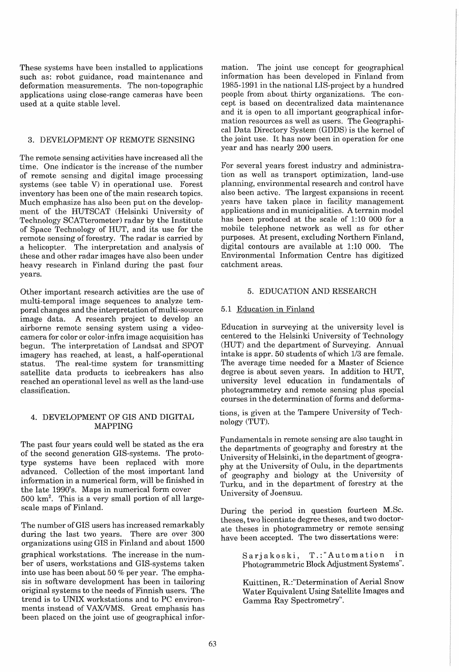These systems have been installed to applications such as: robot guidance, road maintenance and deformation measurements. The non-topographic applications using close-range cameras have been used at a quite stable level.

## 3. DEVELOPMENT OF REMOTE SENSING

The remote sensing activities have increased all the time. One indicator is the increase of the number of remote sensing and digital image processing systems (see table V) in operational use. Forest inventory has been one of the main research topics. Much emphasize has also been put on the development of the HUTSCAT (Helsinki University of Technology SCATterometer) radar by the Institute of Space Technology of HUT, and its use for the remote sensing of forestry. The radar is carried by a helicopter. The interpretation and analysis of these and other radar images have also been under heavy research in Finland during the past four years.

Other important research activities are the use of multi-temporal image sequences to analyze temporal changes and the interpretation of multi-source image data. A research project to develop an airborne remote sensing system using a videocamera for color or color-infra image acquisition has begun. The interpretation of Landsat and SPOT imagery has reached, at least, a half-operational status. The real-time system for transmitting satellite data products to icebreakers has also reached an operational level as well as the land-use classification.

## 4. DEVELOPMENT OF GIS AND DIGITAL MAPPING

The past four years could well be stated as the era of the second generation GIS-systems. The prototype systems have been replaced with more advanced. Collection of the most important land information in a numerical form, will be finished in the late 1990's. Maps in numerical form cover  $500 \text{ km}^2$ . This is a very small portion of all largescale maps of Finland.

The number of GIS users has increased remarkably during the last two years. There are over 300 organizations using GIS in Finland and about 1500 graphical workstations. The increase in the number of users, workstations and GIS-systems taken into use has been about 50 % per year. The emphasis in software development has been in tailoring original systems to the needs of Finnish users. The trend is to UNIX workstations and to PC environments instead of VAX/VMS. Great emphasis has been placed on the joint use of geographical information. The joint use concept for geographical information has been developed in Finland from 1985-1991 in the national LIS-project by a hundred people from about thirty organizations. The concept is based on decentralized data maintenance and it is open to all important geographical information resources as well as users. The Geographical Data Directory System (GDDS) is the kernel of the joint use. It has now been in operation for one year and has nearly 200 users.

For several years forest industry and administration as well as transport optimization, land-use planning, environmental research and control have also been active. The largest expansions in recent years have taken place in facility management applications and in municipalities. A terrain model has been produced at the scale of 1:10 000 for a mobile telephone network as well as for other purposes. At present, excluding Northern Finland, digital contours are available at 1:10 000. The Environmental Information Centre has digitized catchment areas.

# 5. EDUCATION AND RESEARCH

# 5.1 Education in Finland

Education in surveying at the university level is centered to the Helsinki University of Technology (HUT) and the department of Surveying. Annual intake is appr. 50 students of which  $1/3$  are female. The average time needed for a Master of Science degree is about seven years. In addition to HUT, university level education in fundamentals of photogrammetry and remote sensing plus special courses in the determination of forms and deforma-

tions, is given at the Tampere University of Technology (TUT).

Fundamentals in remote sensing are also taught in the departments of geography and forestry at the University of Helsinki, in the department of geography at the University of Oulu, in the departments of geography and biology at the University of Turku, and in the department of forestry at the University of Joensuu.

During the period in question fourteen M.Sc. theses, two licentiate degree theses, and two doctorate theses in photogrammetry or remote sensing have been accepted. The two dissertations were:

> Sarjakoski, T.:"Automation in Photogrammetric Block Adjustment Systems".

> Kuittinen, R.:"Determination of Aerial Snow Water Equivalent Using Satellite Images and Gamma Ray Spectrometry".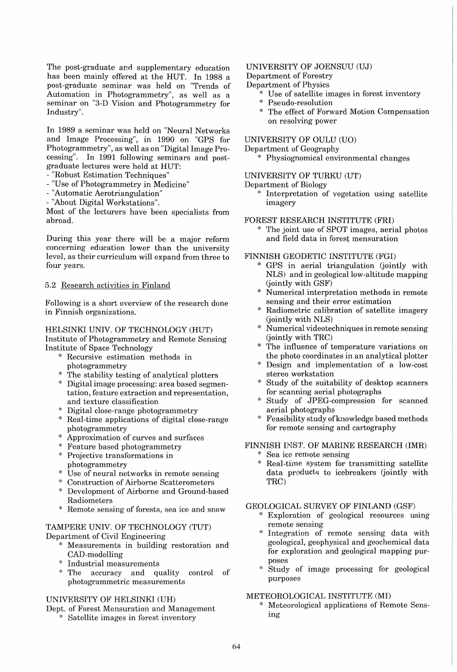The post-graduate and supplementary education has been mainly offered at the HUT. In 1988 a post-graduate seminar was held on "Trends of Automation in Photogrammetry", as well as a seminar on "3-D Vision and Photogrammetry for Industry".

In 1989 a seminar was held on "Neural Networks and Image Processing", in 1990 on "GPS for Photogrammetry", as well as on "Digital Image Processing". In 1991 following seminars and postgraduate lectures were held at HUT:

- "Robust Estimation Techniques"
- "Use of Photogrammetry in Medicine"
- "Automatic Aerotriangulation"
- "About Digital Workstations".

Most of the lecturers have been specialists from abroad.

During this year there will be a major reform concerning education lower than the university level, as their curriculum will expand from three to four years.

#### 5.2 Research activities in Finland

Following is a short overview of the research done in Finnish organizations.

## HELSINKI UNIV. OF TECHNOLOGY (HUT)

Institute of Photogrammetry and Remote Sensing Institute of Space Technology

- \* Recursive estimation methods in photogrammetry
- \* The stability testing of analytical plotters
- \* Digital image processing: area based segmentation, feature extraction and representation, and texture classification
- \* Digital close-range photogrammetry
- \* Real-time applications of digital close-range photogrammetry
- \* Approximation of curves and surfaces
- \* Feature based photogrammetry \* Projective transformations in
- photogrammetry
- Use of neural networks in remote sensing
- Construction of Airborne Scatterometers
- Development of Airborne and Ground-based Radiometers
- Remote sensing of forests, sea ice and snow

## TAMPERE UNIV. OF TECHNOLOGY (TUT) Department of Civil Engineering

- \* Measurements in building restoration and CAD-modelling
- Industrial measurements
- The accuracy and quality control of photogrammetric measurements

## UNIVERSITY OF HELSINKI (UH)

Dept. of Forest Mensuration and Management

\* Satellite images in forest inventory

## UNIVERSITY OF JOENSUU (UJ)

Department of Forestry

- Department of Physics
	- \* Use of satellite images in forest inventory
	- Pseudo-resolution
	- \* The effect of Forward Motion Compensation on resolving power

#### UNIVERSITY OF OULU (UO)

Department of Geography

\* Physiognomical environmental changes

### UNIVERSITY OF TURKU (UT)

- Department of Biology
	- \* Interpretation of vegetation using satellite imagery

# FOREST RESEARCH INSTITUTE (FRI)

The joint use of SPOT images, aerial photos and field data in forest mensuration

## FINNISH GEODETIC INSTITUTE (FGI)

- GPS in aerial triangulation (jointly with NLS) and in geological low-altitude mapping (jointly with GSF)
- Numerical interpretation methods in remote sensing and their error estimation
- Radiometric calibration of satellite imagery (jointly with NLS)
- Numerical videotechniques in remote sensing (jointly with TRC)
- The influence of temperature variations on the photo coordinates in an analytical plotter
- Design and implementation of a low-cost stereo workstation
- Study of the suitability of desktop scanners for scanning aerial photographs
- Study of JPEG-compression for scanned aerial photographs
- Feasibility study of knowledge based methods for remote sensing and cartography

# FINNISH INST. OF MARINE RESEARCH (IMR)

\* Sea ice remote sensing<br>\* Roal-time system for 1 Real-time system for transmitting satellite data products to icebreakers (jointly with

# GEOLOGICAL SURVEY OF FINLAND (GSF)

TRC)

- Exploration of geological resources using remote sensing
- Integration of remote sensing data with geological, geophysical and geochemical data for exploration and geological mapping purposes
- Study of image processing for geological purposes

#### METEOROLOGICAL INSTITUTE (MI)

Meteorological applications of Remote Sensing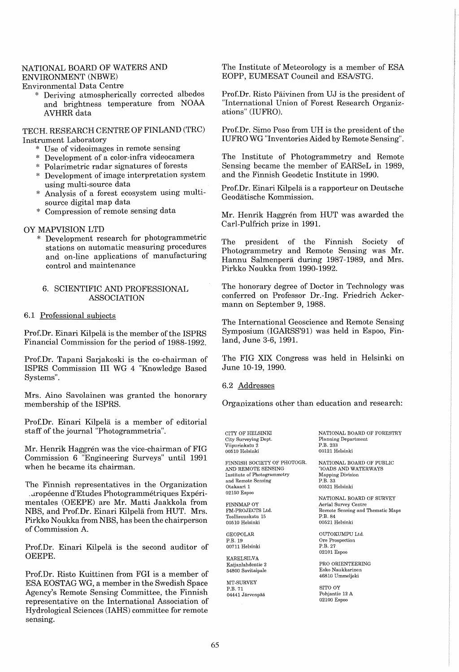# NATIONAL BOARD OF WATERS AND ENVIRONMENT (NBWE)

Environmental Data Centre

Deriving atmospherically corrected albedos and brightness temperature from NOAA AVHRR data

TECH. RESEARCH CENTRE OF FINLAND (TRC) Instrument Laboratory

- Use of videoimages in remote sensing
- Development of a color-infra videocamera
- \* Polarimetric radar signatures of forests
- \* Development of image interpretation system using multi-source data
- Analysis of a forest ecosystem using multisource digital map data
- Compression of remote sensing data

# OY MAPVISION LTD

\* Development research for photogrammetric stations on automatic measuring procedures and on-line applications of manufacturing control and maintenance

### 6. SCIENTIFIC AND PROFESSIONAL ASSOCIATION

#### 6.1 Professional subjects

Prof.Dr. Einari Kilpelä is the member of the ISPRS Financial Commission for the period of 1988-1992.

Prof. Dr. Tapani Sarjakoski is the co-chairman of ISPRS Commission III WG 4 "Knowledge Based Systems".

Mrs. Aino Savolainen was granted the honorary membership of the ISPRS.

Prof.Dr. Einari Kilpela is a member of editorial staff of the journal "Photogrammetria".

Mr. Henrik Haggrén was the vice-chairman of FIG Commission 6 "Engineering Surveys" until 1991 when he became its chairman.

The Finnish representatives in the Organization \_ Jropeenne d'Etudes Photogrammetriques Experimentales (OEEPE) are Mr. Matti Jaakkola from NBS, and Prof.Dr. Einari Kilpela from HUT. Mrs. Pirkko Noukka from NBS, has been the chairperson of Commission A.

Prof.Dr. Einari Kilpelä is the second auditor of OEEPE.

Prof. Dr. Risto Kuittinen from FGI is a member of ESA EOSTAG WG, a member in the Swedish Space Agency's Remote Sensing Committee, the Finnish representative on the International Association of Hydrological Sciences (lAHS) committee for remote sensing.

The Institute of Meteorology is a member of ESA EOPP, EUMESAT Council and ESA/STG.

Prof. Dr. Risto Päivinen from UJ is the president of "International Union of Forest Research Organizations" (IUFRO).

Prof. Dr. Simo Poso from UH is the president of the IUFRO WG "Inventories Aided by Remote Sensing".

The Institute of Photogrammetry and Remote Sensing became the member of EARSeL in 1989, and the Finnish Geodetic Institute in 1990.

Prof.Dr. Einari Kilpela is a rapporteur on Deutsche Geodatische Kommission.

Mr. Henrik Haggrén from HUT was awarded the Carl-Pulfrich prize in 1991.

The president of the Finnish Society of Photogrammetry and Remote Sensing was Mr. Hannu Salmenperä during 1987-1989, and Mrs. Pirkko Noukka from 1990-1992.

The honorary degree of Doctor in Technology was conferred on Professor Dr.-Ing. Friedrich Ackermann on September 9, 1988.

The International Geoscience and Remote Sensing Symposium (IGARSS'91) was held in Espoo, Finland, June 3-6, 1991.

The FIG XIX Congress was held in Helsinki on June 10-19, 1990.

6.2 Addresses

Organizations other than education and research:

City Surveying Dept. Planning Department Viipurinkatu 2 P.B. 233 00510 Helsinki

FINNISH SOCIETY OF PHOTOGR. NATIONAL BOARD OF PUBLIC AND REMOTE SENSING TOADS AND WATERWAYS Institute of Photogrammetry and Remote Sensing<br>Otakaari 1 02150 Espoo

FINNMAP OY Aerial Survey Centre Teollisuuskatu 15<br>00510 Helsinki

P.B. 19<br>00711 Helsinki

KARELSILVA<br>Kaijanlahdentie 2<br>54800 Savitaipale

MT-SURVEY P.B. 71 SITO OY 04441 Järvenpää

CITY OF HELSINKI NATIONAL BOARD OF FORESTRY

ROADS AND WATERWAYS<br>Mapping Division 00521 Helsinki

NATIONAL BOARD OF SURVEY Remote Sensing and Thematic Maps<br>P.B. 84 00510 Helsinki 00521 Helsinki

GEOPOLAR OUTOKUMPU Ltd. Ore Prospection  $\mathbf{P}.\mathbf{B}.\;27$ 02101 Espoo

> PRO ORIENTEERING 54800 Savitaipale Esko Naukkarinen 46810 Ummeljoki

02100 Espoo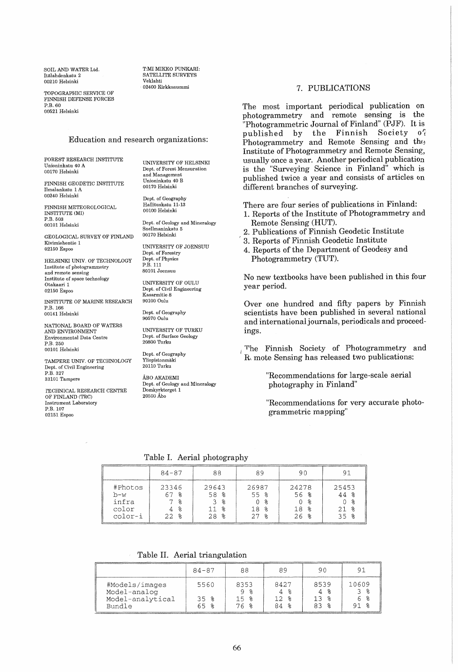SOIL AND WATER Ltd. Italahdenkatu 2 00210 Helsinki

T:MI MIKKO PUNKARI: SATELLITE SURVEYS Veklahti . 02400 Kirkkonummi

TOPOGRAPHIC SERVICE OF FINNISH DEFENSE FORCES  $P$  $R$ .60 00521 Helsinki

#### Education and research organizations:

FOREST RESEARCH INSTITUTE Unioninkatu 40 A 00170 Helsinki

FINNISH GEODETIC INSTITUTE Ilmalankatu 1 A 00240 Helsinki

FINNISH METEOROLOGICAL INSTITUTE (MI) P.B. 503 00101 Helsinki

GEOLOGICAL SURVEY OF FINLAND Kivimiehentie 1 02150 Espoo

HELSINKI UNIV. OF TECHNOLOGY Institute of photogrammetry and remote sensing Institute of space technology Otakaari 1 02150 Espoo

INSTITUTE OF MARINE RESEARCH P.B. 166 00141 Helsinki

NATIONAL BOARD OF WATERS AND ENVIRONMENT Environmental Data Centre P.B.250 00101 Helsinki

TAMPERE UNIV. OF TECHNOLOGY Dept. of Civil Engineering P.B.327 33101 Tampere

rECHNICAL RESEARCH CENTRE OF FINLAND (TRC) Instrument Laboratory P.B. 107 02151 Espoo

Dept. of Geography Hallituskatu 11-13 00100 Helsinki Dept. of Geology and Mineralogy Snellmaninkatu 5 00170 Helsinki UNIVERSITY OF JOENSUU Dept. of Forestry Dept. of Physics P.B.111 80101 Joensuu UNIVERSITY OF OULU Dept. of Civil Engineering Kasarmitie 8 90100 Oulu

UNIVERSITY OF HELSINKI Dept. of Forest Mensuration and Management Unioninkatu 40 B 00170 Helsinki

Dept. of Geography 90570 Oulu

UNIVERSITY OF TURKU Dept. of Surface Geology 20800 Turku

Dept. of Geography Yliopistonmaki 20110 Turku

ÅRO AKADEMI Dept. of Geology and Mineralogy Domkyrktorget 1 20500 Abo

7. PUBLICATIONS

The most important periodical publication on photogrammetry and remote sensing is the "Photogrammetric Journal of Finland" (PJF). It is published by the Finnish Society  $o<sup>r</sup>$ Photogrammetry and Remote Sensing and the Institute of Photogrammetry and Remote Sensing, usually once a year. Another periodical publication is the "Surveying Science in Finland" which is published twice a year and consists of articles on different branches of surveying.

There are four series of publications in Finland:

- 1. Reports of the Institute of Photogrammetry and Remote Sensing (HUT).
- 2. Publications of Finnish Geodetic Institute
- ! 3. Reports of Finnish Geodetic Institute
- 4. Reports of the Department of Geodesy and Photogrammetry (TUT).

No new textbooks have been published in this four year period.

Over one hundred and fifty papers by Finnish scientists have been published in several national and international journals, periodicals and proceedings.

The Finnish Society of Photogrammetry and R\ mote Sensing has released two publications:

> "Recommendations for large-scale aerial photography in Finland"

"Recommendations for very accurate photogrammetric rnapping"

Table I. Aerial photography

|                                             | $84 - 87$                     | 88                                  | 89                                         | 90                                         | Q1                                        |
|---------------------------------------------|-------------------------------|-------------------------------------|--------------------------------------------|--------------------------------------------|-------------------------------------------|
| #Photos<br>b-w<br>infra<br>color<br>color-i | 23346<br>່ ຂ<br>°<br>°<br>228 | 29643<br>58 %<br>38<br>န္<br>$28$ % | 26987<br>55 %<br>℅<br>g<br>18.<br>27.<br>° | 24278<br>56 %<br>ം ക<br>န္ဂ<br>18.<br>26 % | 25453<br>44 %<br>- 2<br>္ဘ<br>21.<br>35 % |

Table II. Aerial triangulation

|                                                              | $84 - 87$           |                            |                             | 90          |       |
|--------------------------------------------------------------|---------------------|----------------------------|-----------------------------|-------------|-------|
| #Models/images<br>Model-analog<br>Model-analytical<br>Bundle | 5560<br>35 %<br>トトー | 8353<br>၀ %<br>15.<br>76 % | 8427<br>4 %<br>12 ≋<br>84 % | 8539<br>1 R | 10609 |